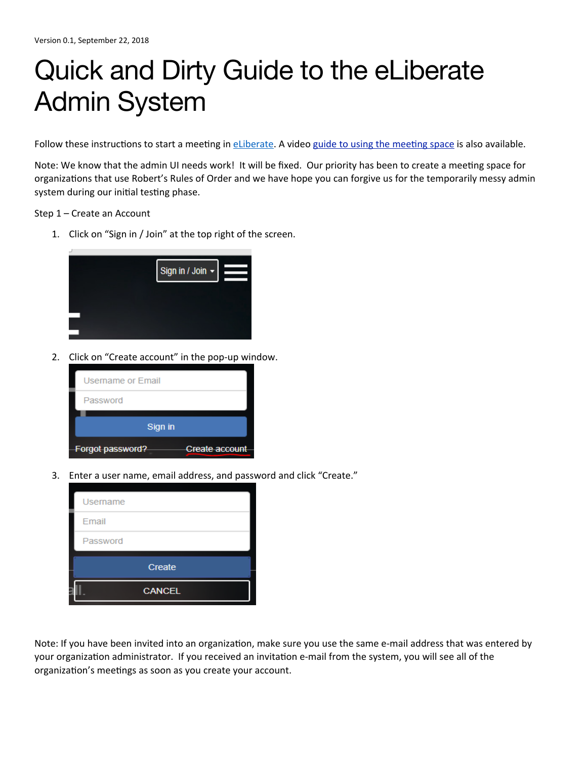## Quick and Dirty Guide to the eLiberate Admin System

Follow these instructions to start a meeting in eLiberate. A video guide to using the meeting space is also available.

Note: We know that the admin UI needs work! It will be fixed. Our priority has been to create a meeting space for organizations that use Robert's Rules of Order and we have hope you can forgive us for the temporarily messy admin system during our initial testing phase.

Step 1 - Create an Account

1. Click on "Sign in / Join" at the top right of the screen.



2. Click on "Create account" in the pop-up window.



3. Enter a user name, email address, and password and click "Create."

| Username |
|----------|
| Email    |
| Password |
| Create   |
|          |

Note: If you have been invited into an organization, make sure you use the same e-mail address that was entered by your organization administrator. If you received an invitation e-mail from the system, you will see all of the organization's meetings as soon as you create your account.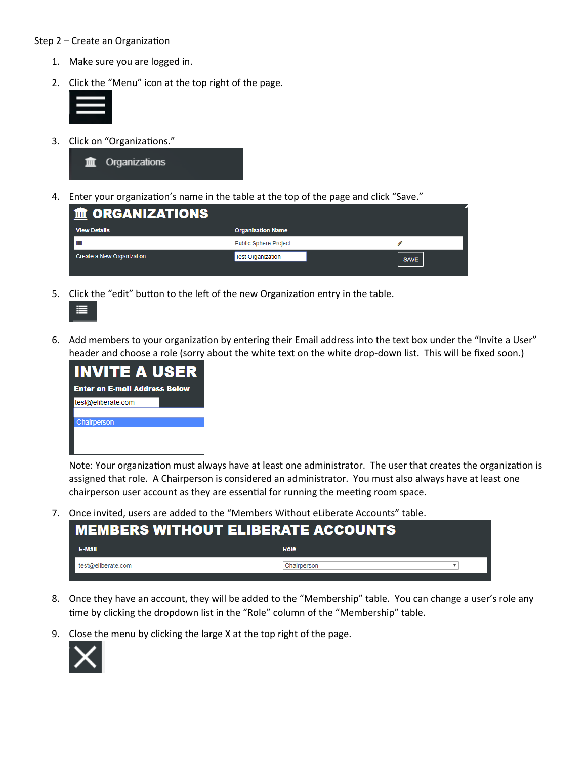## Step  $2$  – Create an Organization

- 1. Make sure you are logged in.
- 2. Click the "Menu" icon at the top right of the page.



3. Click on "Organizations."



4. Enter your organization's name in the table at the top of the page and click "Save."

| m ORGANIZATIONS           |                              |             |  |  |  |
|---------------------------|------------------------------|-------------|--|--|--|
| <b>View Details</b>       | <b>Organization Name</b>     |             |  |  |  |
| ⋿                         | <b>Public Sphere Project</b> |             |  |  |  |
| Create a New Organization | <b>Test Organization</b>     | <b>SAVE</b> |  |  |  |

5. Click the "edit" button to the left of the new Organization entry in the table.



6. Add members to your organization by entering their Email address into the text box under the "Invite a User" header and choose a role (sorry about the white text on the white drop-down list. This will be fixed soon.)



Note: Your organization must always have at least one administrator. The user that creates the organization is assigned that role. A Chairperson is considered an administrator. You must also always have at least one chairperson user account as they are essential for running the meeting room space.

7. Once invited, users are added to the "Members Without eLiberate Accounts" table.

| <b>MEMBERS WITHOUT ELIBERATE ACCOUNTS</b> |             |  |  |  |
|-------------------------------------------|-------------|--|--|--|
| <b>E-Mail</b>                             | Role        |  |  |  |
| test@eliberate.com                        | Chairperson |  |  |  |

- 8. Once they have an account, they will be added to the "Membership" table. You can change a user's role any time by clicking the dropdown list in the "Role" column of the "Membership" table.
- 9. Close the menu by clicking the large X at the top right of the page.

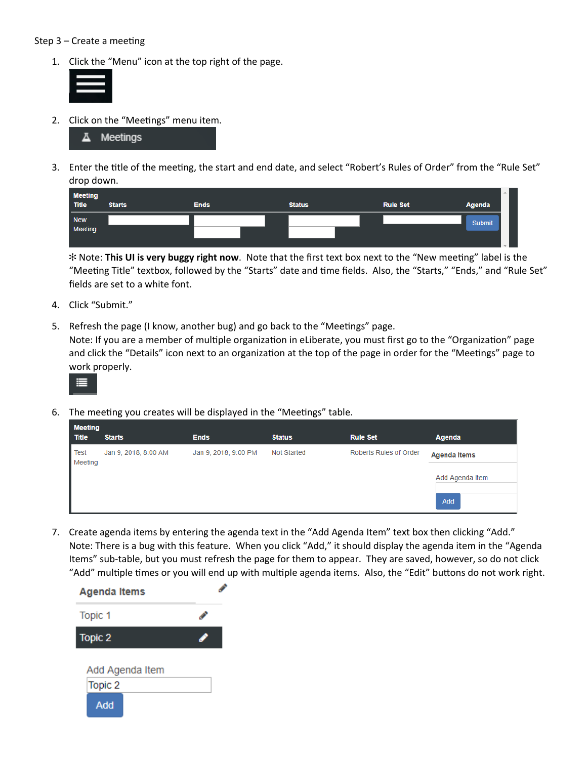## Step  $3$  – Create a meeting

1. Click the "Menu" icon at the top right of the page.



2. Click on the "Meetings" menu item.



3. Enter the title of the meeting, the start and end date, and select "Robert's Rules of Order" from the "Rule Set" drop down.

| <b>Meeting</b><br><b>Title</b> |               |             |               |                 | 业             |
|--------------------------------|---------------|-------------|---------------|-----------------|---------------|
|                                | <b>Starts</b> | <b>Ends</b> | <b>Status</b> | <b>Rule Set</b> | Agenda        |
| <b>New</b>                     |               |             |               |                 | <b>Submit</b> |
| Meeting                        |               |             |               |                 |               |
|                                |               |             |               |                 |               |

 $*$  **Note: This UI is very buggy right now**. Note that the first text box next to the "New meeting" label is the "Meeting Title" textbox, followed by the "Starts" date and time fields. Also, the "Starts," "Ends," and "Rule Set" fields are set to a white font.

- 4. Click "Submit."
- 5. Refresh the page (I know, another bug) and go back to the "Meetings" page.

Note: If you are a member of multiple organization in eLiberate, you must first go to the "Organization" page and click the "Details" icon next to an organization at the top of the page in order for the "Meetings" page to work properly.



6. The meeting you creates will be displayed in the "Meetings" table.

| <b>Meeting</b>  |                      |                      |               |                        |                     |
|-----------------|----------------------|----------------------|---------------|------------------------|---------------------|
| Title           | <b>Starts</b>        | <b>Ends</b>          | <b>Status</b> | <b>Rule Set</b>        | Agenda              |
| Test<br>Meeting | Jan 9, 2018, 8:00 AM | Jan 9, 2018, 9:00 PM | Not Started   | Roberts Rules of Order | <b>Agenda Items</b> |
|                 |                      |                      |               |                        | Add Agenda Item     |
|                 |                      |                      |               |                        | Add                 |

7. Create agenda items by entering the agenda text in the "Add Agenda Item" text box then clicking "Add." Note: There is a bug with this feature. When you click "Add," it should display the agenda item in the "Agenda Items" sub-table, but you must refresh the page for them to appear. They are saved, however, so do not click "Add" multiple times or you will end up with multiple agenda items. Also, the "Edit" buttons do not work right.